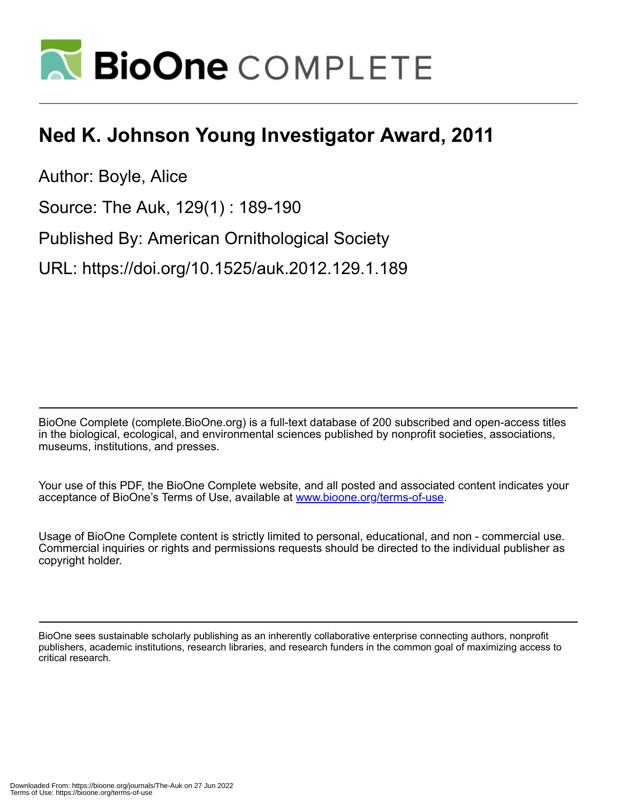

## **Ned K. Johnson Young Investigator Award, 2011**

Author: Boyle, Alice

Source: The Auk, 129(1) : 189-190

Published By: American Ornithological Society

URL: https://doi.org/10.1525/auk.2012.129.1.189

BioOne Complete (complete.BioOne.org) is a full-text database of 200 subscribed and open-access titles in the biological, ecological, and environmental sciences published by nonprofit societies, associations, museums, institutions, and presses.

Your use of this PDF, the BioOne Complete website, and all posted and associated content indicates your acceptance of BioOne's Terms of Use, available at www.bioone.org/terms-of-use.

Usage of BioOne Complete content is strictly limited to personal, educational, and non - commercial use. Commercial inquiries or rights and permissions requests should be directed to the individual publisher as copyright holder.

BioOne sees sustainable scholarly publishing as an inherently collaborative enterprise connecting authors, nonprofit publishers, academic institutions, research libraries, and research funders in the common goal of maximizing access to critical research.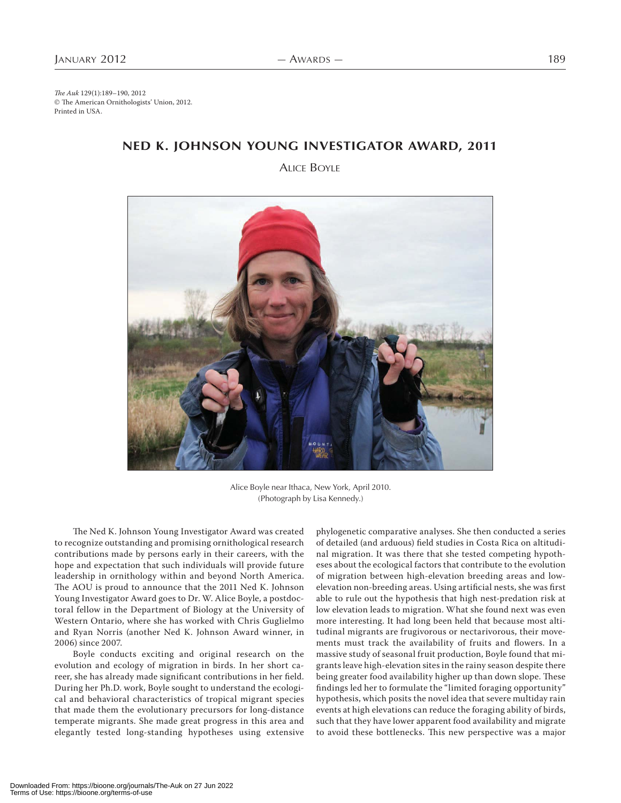The Auk 129(1):189–190, 2012 © The American Ornithologists' Union, 2012. Printed in USA.

## **NED K. JOHNSON YOUNG INVESTIGATOR AWARD, 2011**

ALICE BOYLE



Alice Boyle near Ithaca, New York, April 2010. (Photograph by Lisa Kennedy.)

The Ned K. Johnson Young Investigator Award was created to recognize outstanding and promising ornithological research contributions made by persons early in their careers, with the hope and expectation that such individuals will provide future leadership in ornithology within and beyond North America. The AOU is proud to announce that the 2011 Ned K. Johnson Young Investigator Award goes to Dr. W. Alice Boyle, a postdoctoral fellow in the Department of Biology at the University of Western Ontario, where she has worked with Chris Guglielmo and Ryan Norris (another Ned K. Johnson Award winner, in 2006) since 2007.

Boyle conducts exciting and original research on the evolution and ecology of migration in birds. In her short career, she has already made significant contributions in her field. During her Ph.D. work, Boyle sought to understand the ecological and behavioral characteristics of tropical migrant species that made them the evolutionary precursors for long-distance temperate migrants. She made great progress in this area and elegantly tested long-standing hypotheses using extensive phylogenetic comparative analyses. She then conducted a series of detailed (and arduous) field studies in Costa Rica on altitudinal migration. It was there that she tested competing hypotheses about the ecological factors that contribute to the evolution of migration between high-elevation breeding areas and lowelevation non-breeding areas. Using artificial nests, she was first able to rule out the hypothesis that high nest-predation risk at low elevation leads to migration. What she found next was even more interesting. It had long been held that because most altitudinal migrants are frugivorous or nectarivorous, their movements must track the availability of fruits and flowers. In a massive study of seasonal fruit production, Boyle found that migrants leave high-elevation sites in the rainy season despite there being greater food availability higher up than down slope. These findings led her to formulate the "limited foraging opportunity" hypothesis, which posits the novel idea that severe multiday rain events at high elevations can reduce the foraging ability of birds, such that they have lower apparent food availability and migrate to avoid these bottlenecks. This new perspective was a major